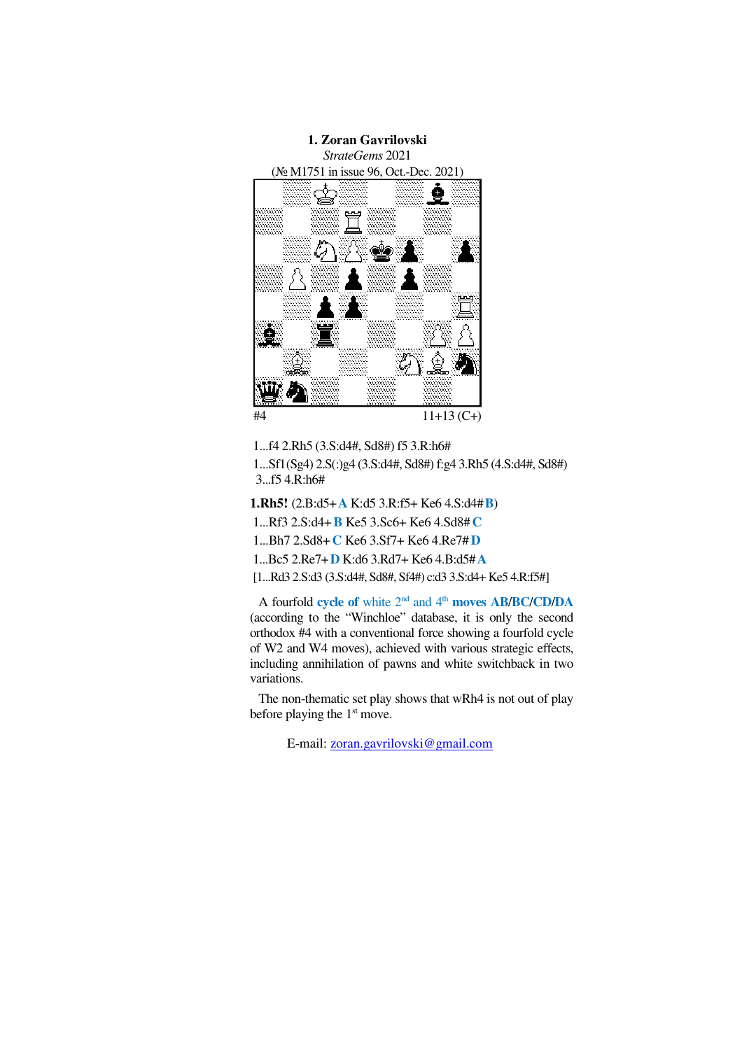

- 1...f4 2.Rh5 (3.S:d4#, Sd8#) f5 3.R:h6#
- 1...Sf1(Sg4) 2.S(:)g4 (3.S:d4#, Sd8#) f:g4 3.Rh5 (4.S:d4#, Sd8#) 3...f5 4.R:h6#
- **1.Rh5!** (2.B:d5+**A** K:d5 3.R:f5+ Ke6 4.S:d4#**B**)
- 1...Rf3 2.S:d4+**B** Ke5 3.Sc6+ Ke6 4.Sd8# **C**
- 1...Bh7 2.Sd8+**C** Ke6 3.Sf7+ Ke6 4.Re7# **D**
- 1...Bc5 2.Re7+**D** K:d6 3.Rd7+ Ke6 4.B:d5#**A**
- [1...Rd3 2.S:d3 (3.S:d4#, Sd8#, Sf4#) c:d3 3.S:d4+ Ke5 4.R:f5#]

A fourfold **cycle of** white 2nd and 4th **moves AB**/**BC**/**CD**/**DA** (according to the "Winchloe" database, it is only the second orthodox #4 with a conventional force showing a fourfold cycle of W2 and W4 moves), achieved with various strategic effects, including annihilation of pawns and white switchback in two variations.

The non-thematic set play shows that wRh4 is not out of play before playing the  $1<sup>st</sup>$  move.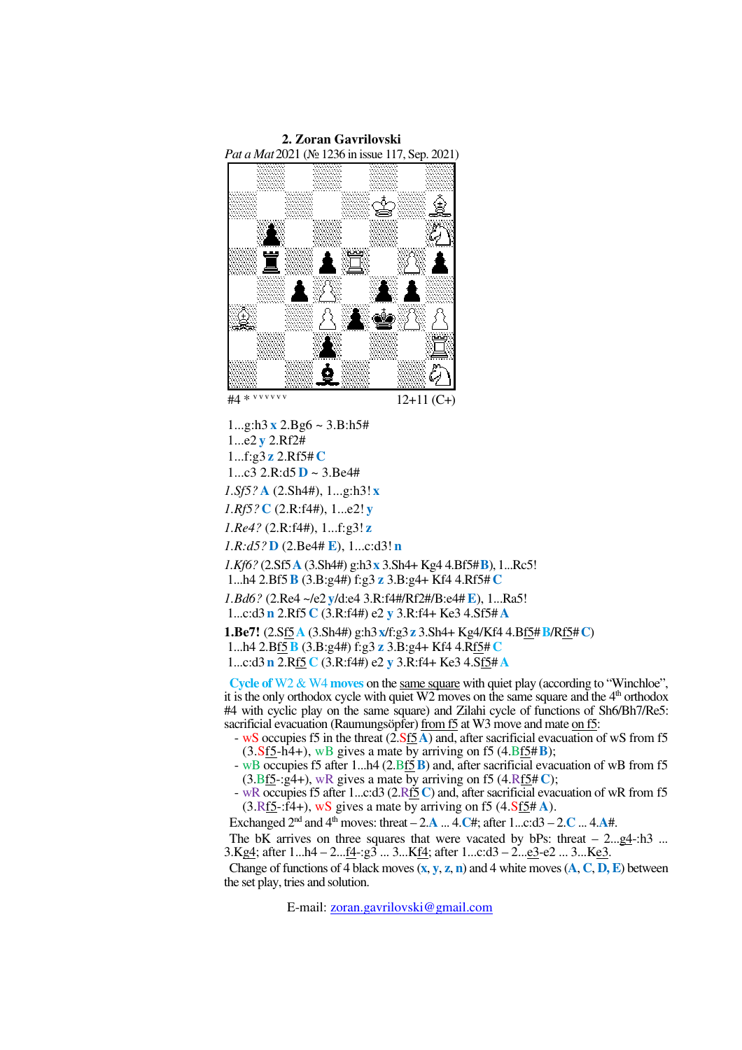

 $#4 * v v v v v v v$ 

12+11 (C+)

 1...g:h3 **x** 2.Bg6 ~ 3.B:h5# 1...e2 **y** 2.Rf2# 1...f:g3 **z** 2.Rf5# **C**   $1...c3$  2.R:d5  $D \sim 3.Be4#$ *1.Sf5?* **A** (2.Sh4#), 1...g:h3! **x** *1.Rf5?* **C** (2.R:f4#), 1...e2! **y** *1.Re4?* (2.R:f4#), 1...f:g3! **z** *1.R:d5?* **D** (2.Be4# **E**), 1...c:d3! **n** *1.Kf6?* (2.Sf5**A** (3.Sh4#) g:h3**x** 3.Sh4+ Kg4 4.Bf5#**B**), 1...Rc5! 1...h4 2.Bf5**B** (3.B:g4#) f:g3 **z** 3.B:g4+ Kf4 4.Rf5# **C**  *1.Bd6?* (2.Re4 ~/e2 **y**/d:e4 3.R:f4#/Rf2#/B:e4#**E**), 1...Ra5! 1...c:d3**n** 2.Rf5 **C** (3.R:f4#) e2 **y** 3.R:f4+ Ke3 4.Sf5# **A 1.Be7!** (2.Sf5**A** (3.Sh4#) g:h3**x**/f:g3**z** 3.Sh4+ Kg4/Kf4 4.Bf5#**B**/Rf5#**C**) 1...h4 2.Bf5**B** (3.B:g4#) f:g3 **z** 3.B:g4+ Kf4 4.Rf5# **C**

1...c:d3**n** 2.Rf5 **C** (3.R:f4#) e2 **y** 3.R:f4+ Ke3 4.Sf5# **A**

**Cycle of** W2 & W4 **moves** on the same square with quiet play (according to "Winchloe", it is the only orthodox cycle with quiet  $W2$  moves on the same square and the  $4<sup>th</sup>$  orthodox #4 with cyclic play on the same square) and Zilahi cycle of functions of Sh6/Bh7/Re5: sacrificial evacuation (Raumungsöpfer) from f5 at W3 move and mate on f5:

- wS occupies f5 in the threat (2.Sf5**A**) and, after sacrificial evacuation of wS from f5  $(3.\overline{\text{Sf5}-h4+})$ , wB gives a mate by arriving on f5  $(4.\overline{\text{Bf5}}\#B)$ ;
- wB occupies f5 after 1...h4 (2.Bf5**B**) and, after sacrificial evacuation of wB from f5  $(3.Bf5-g4+)$ , wR gives a mate by arriving on f5  $(4.Rf5\#C)$ ;
- wR occupies f5 after 1...c:d3 (2.Rf5**C**) and, after sacrificial evacuation of wR from f5  $(3.Rf5-r\tilde{4}+)$ , wS gives a mate by arriving on f5  $(4.Sf5#A)$ .

Exchanged  $2^{nd}$  and  $4^{th}$  moves: threat  $-2 \cdot \mathbf{A}$  ...  $4 \cdot \mathbf{C}$ #; after  $1...$ c:d3  $-2 \cdot \mathbf{C}$  ...  $4 \cdot \mathbf{A}$ #.

The bK arrives on three squares that were vacated by bPs: threat  $-2 \ldots g4 - h3$  ... 3.Kg4; after 1...h4 – 2...f4-:g3 ... 3...Kf4; after 1...c:d3 – 2...e3-e2 ... 3...Ke3.

Change of functions of 4 black moves (**x**, **y**, **z**, **n**) and 4 white moves (**A**, **C**, **D, E**) between the set play, tries and solution.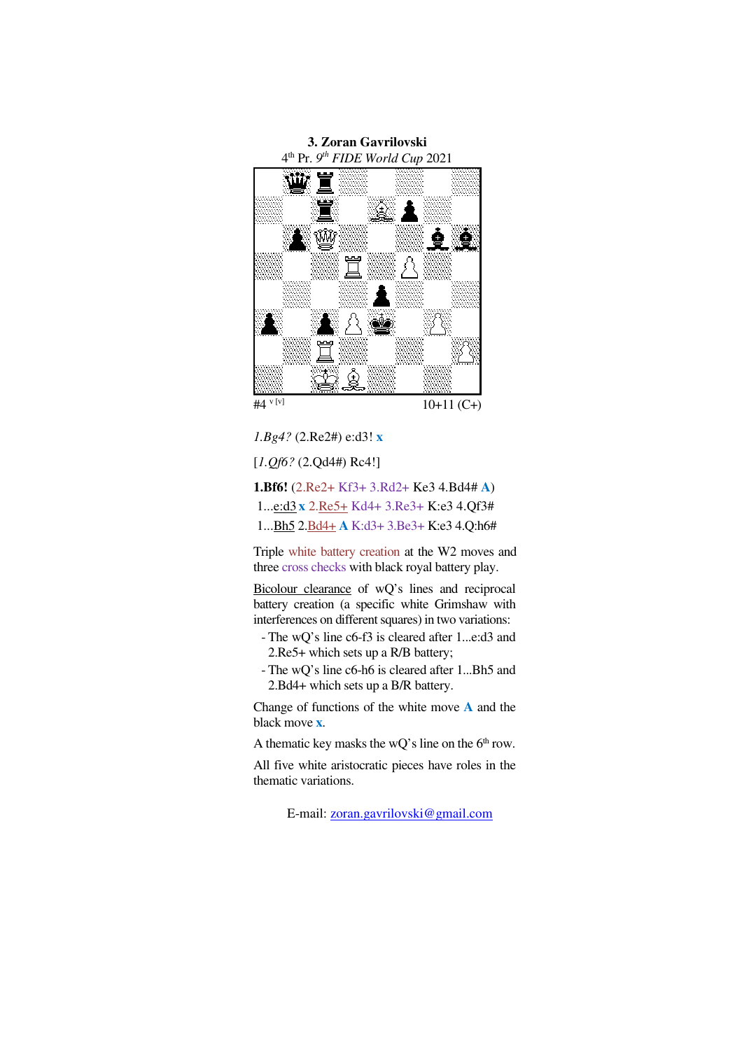

*1.Bg4?* (2.Re2#) e:d3! **x**

[*1.Qf6?* (2.Qd4#) Rc4!]

**1.Bf6!** (2.Re2+ Kf3+ 3.Rd2+ Ke3 4.Bd4# **A**) 1...e:d3 **x** 2.Re5+ Kd4+ 3.Re3+ K:e3 4.Qf3# 1...Bh5 2.Bd4+ **A** K:d3+ 3.Be3+ K:e3 4.Q:h6#

Triple white battery creation at the W2 moves and three cross checks with black royal battery play.

Bicolour clearance of wQ's lines and reciprocal battery creation (a specific white Grimshaw with interferences on different squares) in two variations:

- The wQ's line c6-f3 is cleared after 1...e:d3 and 2.Re5+ which sets up a R/B battery;
- The wQ's line c6-h6 is cleared after 1...Bh5 and 2.Bd4+ which sets up a B/R battery.

Change of functions of the white move **A** and the black move **x**.

A thematic key masks the wQ's line on the  $6<sup>th</sup>$  row.

All five white aristocratic pieces have roles in the thematic variations.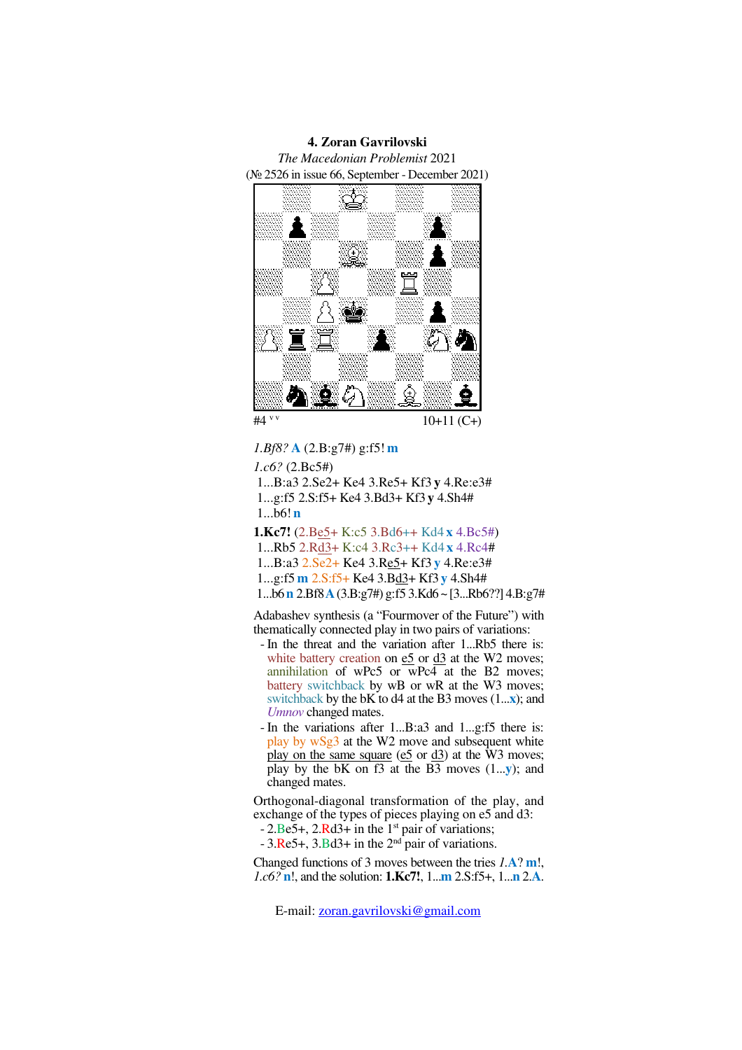



*1.Bf8?* **A** (2.B:g7#) g:f5! **m**  *1.c6?* (2.Bc5#) 1...B:a3 2.Se2+ Ke4 3.Re5+ Kf3 **y** 4.Re:e3# 1...g:f5 2.S:f5+ Ke4 3.Bd3+ Kf3 **y** 4.Sh4# 1...b6! **n 1.Kc7!** (2.Be5+ K:c5 3.Bd6++ Kd4 **x** 4.Bc5#) 1...Rb5 2.Rd3+ K:c4 3.Rc3++ Kd4 **x** 4.Rc4# 1...B:a3 2.Se2+ Ke4 3.Re5+ Kf3 **y** 4.Re:e3# 1...g:f5 **m** 2.S:f5+ Ke4 3.Bd3+ Kf3 **y** 4.Sh4# 1...b6**n** 2.Bf8**A**(3.B:g7#) g:f5 3.Kd6 ~ [3...Rb6??] 4.B:g7#

Adabashev synthesis (a "Fourmover of the Future") with thematically connected play in two pairs of variations:

- In the threat and the variation after 1...Rb5 there is: white battery creation on  $e5$  or  $d3$  at the W2 moves; annihilation of wPc5 or wPc4 at the B2 moves; battery switchback by wB or wR at the W3 moves; switchback by the bK to d4 at the B3 moves (1...**x**); and *Umnov* changed mates.
- In the variations after 1...B:a3 and 1...g:f5 there is: play by wSg3 at the W2 move and subsequent white play on the same square ( $e5$  or  $d3$ ) at the W3 moves; play by the bK on f3 at the B3 moves (1...**y**); and changed mates.

Orthogonal-diagonal transformation of the play, and exchange of the types of pieces playing on e5 and d3:

 $-2.Be5+, 2.Rd3+$  in the 1<sup>st</sup> pair of variations;

 $-3$ .Re5+, 3.Bd3+ in the  $2<sup>nd</sup>$  pair of variations.

Changed functions of 3 moves between the tries *1.***A**? **m**!, *1.c6?* **n**!, and the solution: **1.Kc7!**, 1...**m** 2.S:f5+, 1...**n** 2.**A**.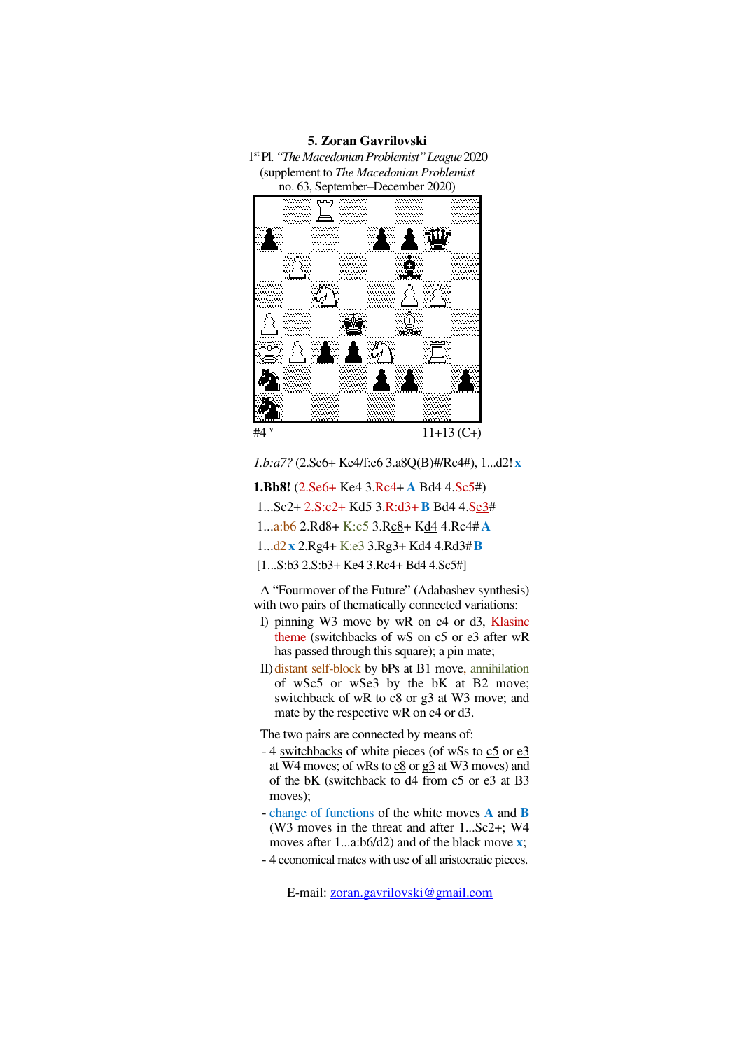## **5. Zoran Gavrilovski**

1 st Pl. *"The Macedonian Problemist"League* 2020 (supplement to *The Macedonian Problemist*  no. 63, September–December 2020)



 $11+13$  (C+)

*1.b:a7?* (2.Se6+ Ke4/f:e6 3.a8Q(B)#/Rc4#), 1...d2! **x**

- **1.Bb8!** (2.Se6+ Ke4 3.Rc4+ **A** Bd4 4.Sc5#) 1...Sc2+ 2.S:c2+ Kd5 3.R:d3+**B** Bd4 4.Se3# 1...a:b6 2.Rd8+ K:c5 3.Rc8+ Kd4 4.Rc4# **A** 1...d2 **x** 2.Rg4+ K:e3 3.Rg3+ Kd4 4.Rd3#**B**
- [1...S:b3 2.S:b3+ Ke4 3.Rc4+ Bd4 4.Sc5#]

A "Fourmover of the Future" (Adabashev synthesis) with two pairs of thematically connected variations:

- I) pinning W3 move by wR on c4 or d3, Klasinc theme (switchbacks of wS on c5 or e3 after wR has passed through this square); a pin mate;
- II) distant self-block by bPs at B1 move, annihilation of wSc5 or wSe3 by the bK at B2 move; switchback of wR to c8 or g3 at W3 move; and mate by the respective wR on c4 or d3.

The two pairs are connected by means of:

- 4 switchbacks of white pieces (of wSs to c5 or e3 at W4 moves; of wRs to  $\underline{c8}$  or  $\underline{c3}$  at W3 moves) and of the bK (switchback to  $\frac{d4}{ }$  from c5 or e3 at B3 moves);
- change of functions of the white moves **A** and **B** (W3 moves in the threat and after 1...Sc2+; W4 moves after 1...a:b6/d2) and of the black move **x**;
- 4 economical mates with use of all aristocratic pieces.